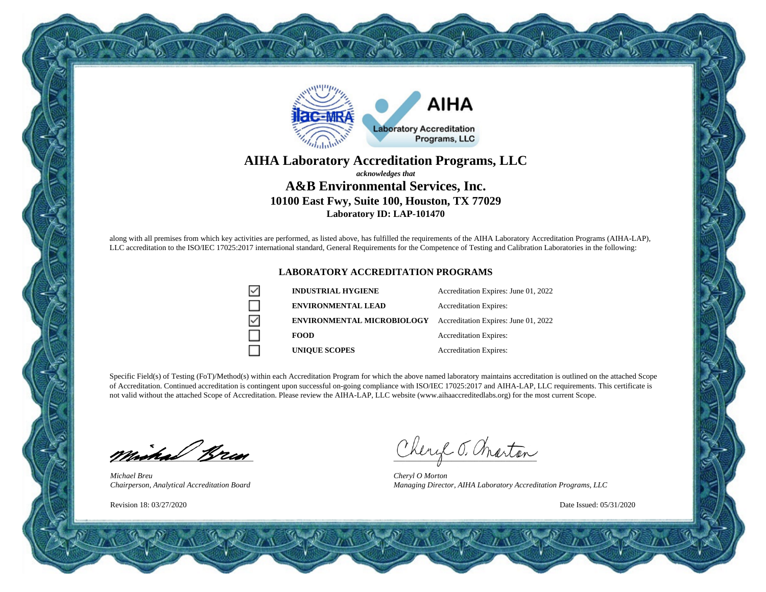

### **AIHA Laboratory Accreditation Programs, LLC** *acknowledges that* **A&B Environmental Services, Inc. 10100 East Fwy, Suite 100, Houston, TX 77029 Laboratory ID: LAP-101470**

along with all premises from which key activities are performed, as listed above, has fulfilled the requirements of the AIHA Laboratory Accreditation Programs (AIHA-LAP), LLC accreditation to the ISO/IEC 17025:2017 international standard, General Requirements for the Competence of Testing and Calibration Laboratories in the following:

#### **LABORATORY ACCREDITATION PROGRAMS**

|   | <b>INDUSTRIAL HYGIENE</b>         | Accreditation Expires: June 01, 2022 |
|---|-----------------------------------|--------------------------------------|
|   | <b>ENVIRONMENTAL LEAD</b>         | <b>Accreditation Expires:</b>        |
| ☑ | <b>ENVIRONMENTAL MICROBIOLOGY</b> | Accreditation Expires: June 01, 2022 |
|   | <b>FOOD</b>                       | <b>Accreditation Expires:</b>        |
|   | <b>UNIQUE SCOPES</b>              | <b>Accreditation Expires:</b>        |

Specific Field(s) of Testing (FoT)/Method(s) within each Accreditation Program for which the above named laboratory maintains accreditation is outlined on the attached Scope of Accreditation. Continued accreditation is contingent upon successful on-going compliance with ISO/IEC 17025:2017 and AIHA-LAP, LLC requirements. This certificate is not valid without the attached Scope of Accreditation. Please review the AIHA-LAP, LLC website (www.aihaaccreditedlabs.org) for the most current Scope.

minical Bran

*Michael Breu Chairperson, Analytical Accreditation Board*

Revision 18: 03/27/2020

Cheryl J. marton

*Cheryl O Morton Managing Director, AIHA Laboratory Accreditation Programs, LLC*

Date Issued: 05/31/2020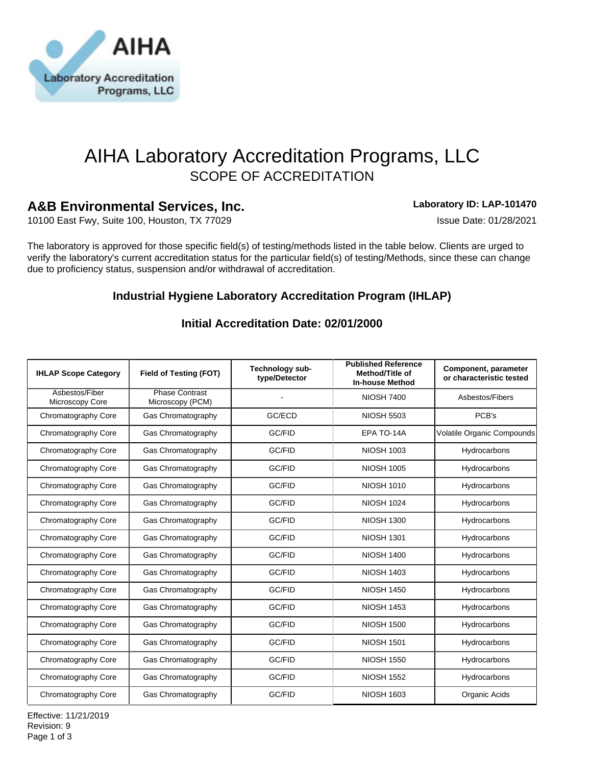

# AIHA Laboratory Accreditation Programs, LLC SCOPE OF ACCREDITATION

# **A&B Environmental Services, Inc. Laboratory ID: LAP-101470**

10100 East Fwy, Suite 100, Houston, TX 77029 ISSUE Date: 01/28/2021

The laboratory is approved for those specific field(s) of testing/methods listed in the table below. Clients are urged to verify the laboratory's current accreditation status for the particular field(s) of testing/Methods, since these can change due to proficiency status, suspension and/or withdrawal of accreditation.

# **Industrial Hygiene Laboratory Accreditation Program (IHLAP)**

| <b>IHLAP Scope Category</b>       | Field of Testing (FOT)                    | Technology sub-<br>type/Detector | <b>Published Reference</b><br>Method/Title of<br><b>In-house Method</b> | Component, parameter<br>or characteristic tested |
|-----------------------------------|-------------------------------------------|----------------------------------|-------------------------------------------------------------------------|--------------------------------------------------|
| Asbestos/Fiber<br>Microscopy Core | <b>Phase Contrast</b><br>Microscopy (PCM) |                                  | <b>NIOSH 7400</b>                                                       | Asbestos/Fibers                                  |
| Chromatography Core               | Gas Chromatography                        | GC/ECD                           | <b>NIOSH 5503</b>                                                       | PCB's                                            |
| Chromatography Core               | Gas Chromatography                        | GC/FID                           | EPA TO-14A                                                              | Volatile Organic Compounds                       |
| Chromatography Core               | Gas Chromatography                        | GC/FID                           | <b>NIOSH 1003</b>                                                       | Hydrocarbons                                     |
| Chromatography Core               | Gas Chromatography                        | GC/FID                           | <b>NIOSH 1005</b>                                                       | Hydrocarbons                                     |
| Chromatography Core               | Gas Chromatography                        | GC/FID                           | <b>NIOSH 1010</b>                                                       | Hydrocarbons                                     |
| Chromatography Core               | Gas Chromatography                        | GC/FID                           | <b>NIOSH 1024</b>                                                       | Hydrocarbons                                     |
| Chromatography Core               | Gas Chromatography                        | GC/FID                           | <b>NIOSH 1300</b>                                                       | Hydrocarbons                                     |
| Chromatography Core               | Gas Chromatography                        | GC/FID                           | <b>NIOSH 1301</b>                                                       | Hydrocarbons                                     |
| Chromatography Core               | Gas Chromatography                        | GC/FID                           | <b>NIOSH 1400</b>                                                       | Hydrocarbons                                     |
| Chromatography Core               | Gas Chromatography                        | GC/FID                           | <b>NIOSH 1403</b>                                                       | Hydrocarbons                                     |
| Chromatography Core               | Gas Chromatography                        | GC/FID                           | <b>NIOSH 1450</b>                                                       | Hydrocarbons                                     |
| Chromatography Core               | Gas Chromatography                        | GC/FID                           | <b>NIOSH 1453</b>                                                       | Hydrocarbons                                     |
| Chromatography Core               | Gas Chromatography                        | GC/FID                           | <b>NIOSH 1500</b>                                                       | Hydrocarbons                                     |
| Chromatography Core               | Gas Chromatography                        | GC/FID                           | <b>NIOSH 1501</b>                                                       | Hydrocarbons                                     |
| Chromatography Core               | Gas Chromatography                        | GC/FID                           | <b>NIOSH 1550</b>                                                       | Hydrocarbons                                     |
| Chromatography Core               | Gas Chromatography                        | GC/FID                           | <b>NIOSH 1552</b>                                                       | Hydrocarbons                                     |
| Chromatography Core               | Gas Chromatography                        | GC/FID                           | <b>NIOSH 1603</b>                                                       | Organic Acids                                    |

## **Initial Accreditation Date: 02/01/2000**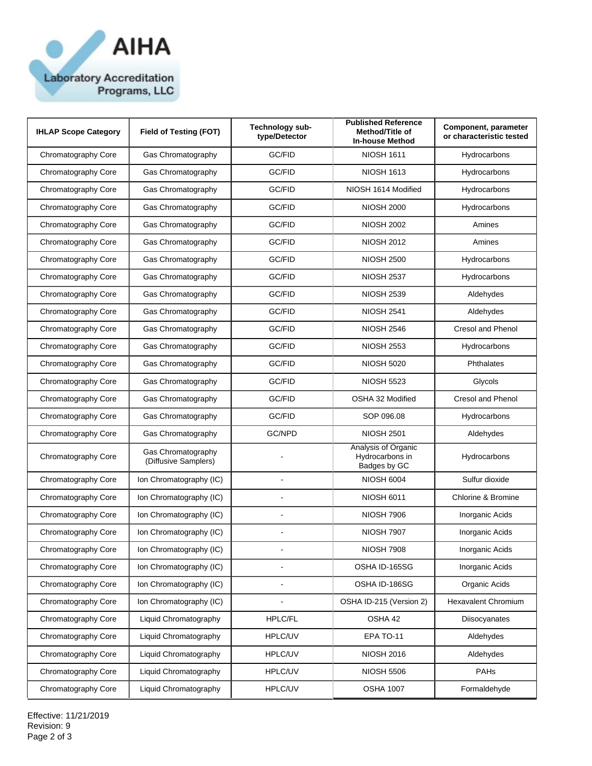

| <b>IHLAP Scope Category</b> | <b>Field of Testing (FOT)</b>              | Technology sub-<br>type/Detector | <b>Published Reference</b><br>Method/Title of<br><b>In-house Method</b> | Component, parameter<br>or characteristic tested |
|-----------------------------|--------------------------------------------|----------------------------------|-------------------------------------------------------------------------|--------------------------------------------------|
| Chromatography Core         | Gas Chromatography                         | GC/FID                           | <b>NIOSH 1611</b>                                                       | Hydrocarbons                                     |
| Chromatography Core         | Gas Chromatography                         | GC/FID                           | <b>NIOSH 1613</b>                                                       | Hydrocarbons                                     |
| Chromatography Core         | Gas Chromatography                         | GC/FID                           | NIOSH 1614 Modified                                                     | Hydrocarbons                                     |
| Chromatography Core         | Gas Chromatography                         | GC/FID                           | <b>NIOSH 2000</b>                                                       | Hydrocarbons                                     |
| Chromatography Core         | Gas Chromatography                         | GC/FID                           | <b>NIOSH 2002</b>                                                       | Amines                                           |
| Chromatography Core         | Gas Chromatography                         | GC/FID                           | <b>NIOSH 2012</b>                                                       | Amines                                           |
| Chromatography Core         | Gas Chromatography                         | GC/FID                           | <b>NIOSH 2500</b>                                                       | Hydrocarbons                                     |
| Chromatography Core         | Gas Chromatography                         | GC/FID                           | <b>NIOSH 2537</b>                                                       | Hydrocarbons                                     |
| Chromatography Core         | Gas Chromatography                         | GC/FID                           | <b>NIOSH 2539</b>                                                       | Aldehydes                                        |
| Chromatography Core         | Gas Chromatography                         | GC/FID                           | <b>NIOSH 2541</b>                                                       | Aldehydes                                        |
| Chromatography Core         | Gas Chromatography                         | GC/FID                           | <b>NIOSH 2546</b>                                                       | <b>Cresol and Phenol</b>                         |
| Chromatography Core         | Gas Chromatography                         | GC/FID                           | <b>NIOSH 2553</b>                                                       | Hydrocarbons                                     |
| Chromatography Core         | Gas Chromatography                         | GC/FID                           | <b>NIOSH 5020</b>                                                       | Phthalates                                       |
| Chromatography Core         | Gas Chromatography                         | GC/FID                           | <b>NIOSH 5523</b>                                                       | Glycols                                          |
| Chromatography Core         | Gas Chromatography                         | GC/FID                           | OSHA 32 Modified                                                        | <b>Cresol and Phenol</b>                         |
| Chromatography Core         | Gas Chromatography                         | GC/FID                           | SOP 096.08                                                              | Hydrocarbons                                     |
| Chromatography Core         | Gas Chromatography                         | GC/NPD                           | <b>NIOSH 2501</b>                                                       | Aldehydes                                        |
| Chromatography Core         | Gas Chromatography<br>(Diffusive Samplers) |                                  | Analysis of Organic<br>Hydrocarbons in<br>Badges by GC                  | Hydrocarbons                                     |
| Chromatography Core         | Ion Chromatography (IC)                    | L,                               | <b>NIOSH 6004</b>                                                       | Sulfur dioxide                                   |
| Chromatography Core         | Ion Chromatography (IC)                    |                                  | <b>NIOSH 6011</b>                                                       | Chlorine & Bromine                               |
| Chromatography Core         | Ion Chromatography (IC)                    | L,                               | <b>NIOSH 7906</b>                                                       | Inorganic Acids                                  |
| Chromatography Core         | Ion Chromatography (IC)                    |                                  | <b>NIOSH 7907</b>                                                       | Inorganic Acids                                  |
| Chromatography Core         | Ion Chromatography (IC)                    |                                  | <b>NIOSH 7908</b>                                                       | Inorganic Acids                                  |
| Chromatography Core         | Ion Chromatography (IC)                    |                                  | OSHA ID-165SG                                                           | Inorganic Acids                                  |
| Chromatography Core         | Ion Chromatography (IC)                    | ÷,                               | OSHA ID-186SG                                                           | Organic Acids                                    |
| Chromatography Core         | Ion Chromatography (IC)                    |                                  | OSHA ID-215 (Version 2)                                                 | <b>Hexavalent Chromium</b>                       |
| Chromatography Core         | Liquid Chromatography                      | HPLC/FL                          | OSHA 42                                                                 | Diisocyanates                                    |
| Chromatography Core         | Liquid Chromatography                      | HPLC/UV                          | EPA TO-11                                                               | Aldehydes                                        |
| Chromatography Core         | Liquid Chromatography                      | HPLC/UV                          | <b>NIOSH 2016</b>                                                       | Aldehydes                                        |
| Chromatography Core         | Liquid Chromatography                      | HPLC/UV                          | <b>NIOSH 5506</b>                                                       | PAHs                                             |
| Chromatography Core         | Liquid Chromatography                      | HPLC/UV                          | <b>OSHA 1007</b>                                                        | Formaldehyde                                     |